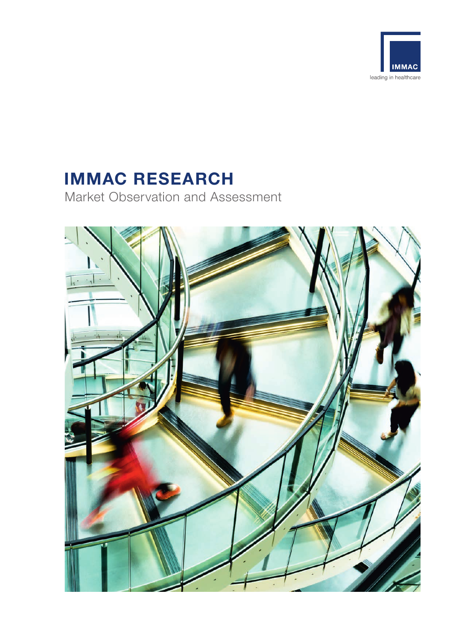

# **IMMAC RESEARCH**

Market Observation and Assessment

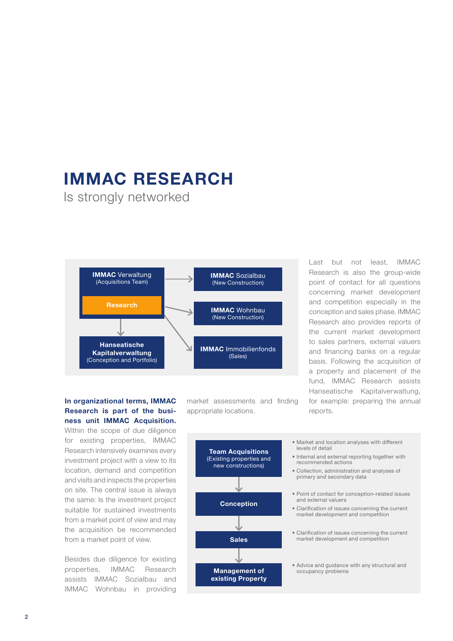### **IMMAC RESEARCH**

Is strongly networked



**In organizational terms, IMMAC Research is part of the business unit IMMAC Acquisition.**

Within the scope of due diligence for existing properties, IMMAC Research intensively examines every investment project with a view to its location, demand and competition and visits and inspects the properties on site. The central issue is always the same: Is the investment project suitable for sustained investments from a market point of view and may the acquisition be recommended from a market point of view.

Besides due diligence for existing properties, IMMAC Research assists IMMAC Sozialbau and IMMAC Wohnbau in providing market assessments and finding appropriate locations.

Last but not least, IMMAC Research is also the group-wide point of contact for all questions concerning market development and competition especially in the conception and sales phase. IMMAC Research also provides reports of the current market development to sales partners, external valuers and financing banks on a regular basis. Following the acquisition of a property and placement of the fund, IMMAC Research assists Hanseatische Kapitalverwaltung, for example: preparing the annual reports.

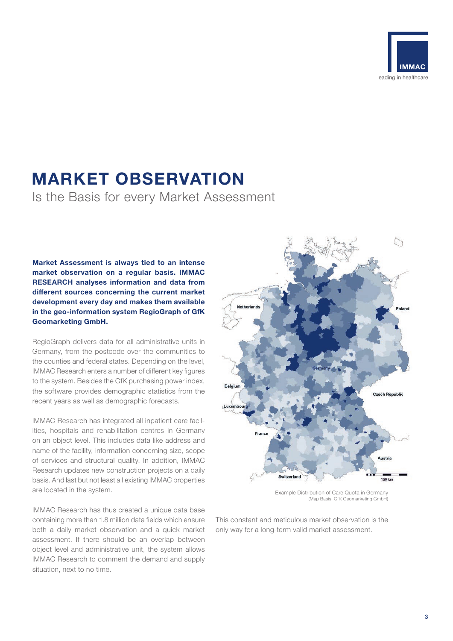

### **MARKET OBSERVATION**

Is the Basis for every Market Assessment

**Market Assessment is always tied to an intense market observation on a regular basis. IMMAC RESEARCH analyses information and data from diff erent sources concerning the current market development every day and makes them available in the geo-information system RegioGraph of GfK Geomarketing GmbH.** 

RegioGraph delivers data for all administrative units in Germany, from the postcode over the communities to the counties and federal states. Depending on the level, IMMAC Research enters a number of different key figures to the system. Besides the GfK purchasing power index, the software provides demographic statistics from the recent years as well as demographic forecasts.

IMMAC Research has integrated all inpatient care facilities, hospitals and rehabilitation centres in Germany on an object level. This includes data like address and name of the facility, information concerning size, scope of services and structural quality. In addition, IMMAC Research updates new construction projects on a daily basis. And last but not least all existing IMMAC properties are located in the system.

IMMAC Research has thus created a unique data base containing more than 1.8 million data fields which ensure both a daily market observation and a quick market assessment. If there should be an overlap between object level and administrative unit, the system allows IMMAC Research to comment the demand and supply situation, next to no time.



Example Distribution of Care Quota in Germany (Map Basis: GfK Geomarketing GmbH)

This constant and meticulous market observation is the only way for a long-term valid market assessment.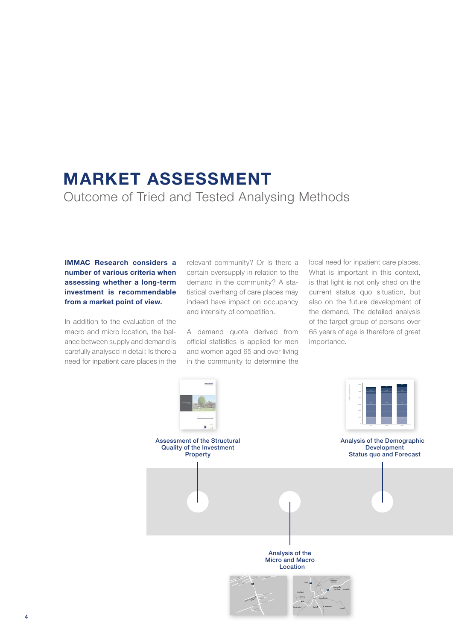### **MARKET ASSESSMENT** Outcome of Tried and Tested Analysing Methods

#### **IMMAC Research considers a number of various criteria when assessing whether a long-term investment is recommendable from a market point of view.**

In addition to the evaluation of the macro and micro location, the balance between supply and demand is carefully analysed in detail: Is there a need for inpatient care places in the

relevant community? Or is there a certain oversupply in relation to the demand in the community? A statistical overhang of care places may indeed have impact on occupancy and intensity of competition.

A demand quota derived from official statistics is applied for men and women aged 65 and over living in the community to determine the local need for inpatient care places. What is important in this context. is that light is not only shed on the current status quo situation, but also on the future development of the demand. The detailed analysis of the target group of persons over 65 years of age is therefore of great importance.

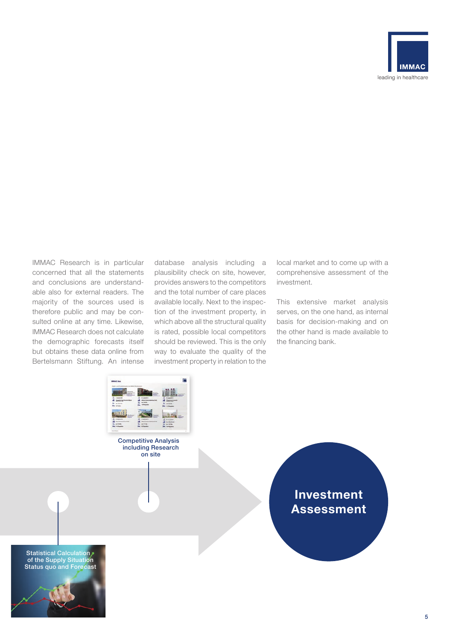

IMMAC Research is in particular concerned that all the statements and conclusions are understandable also for external readers. The majority of the sources used is therefore public and may be consulted online at any time. Likewise, IMMAC Research does not calculate the demographic forecasts itself but obtains these data online from Bertelsmann Stiftung. An intense database analysis including a plausibility check on site, however, provides answers to the competitors and the total number of care places available locally. Next to the inspection of the investment property, in which above all the structural quality is rated, possible local competitors should be reviewed. This is the only way to evaluate the quality of the investment property in relation to the

local market and to come up with a comprehensive assessment of the investment.

This extensive market analysis serves, on the one hand, as internal basis for decision-making and on the other hand is made available to the financing bank.



Competitive Analysis including Research on site

> **Investment Assessment**

Statistical Calculation of the Supply Situation Status quo and Forecast

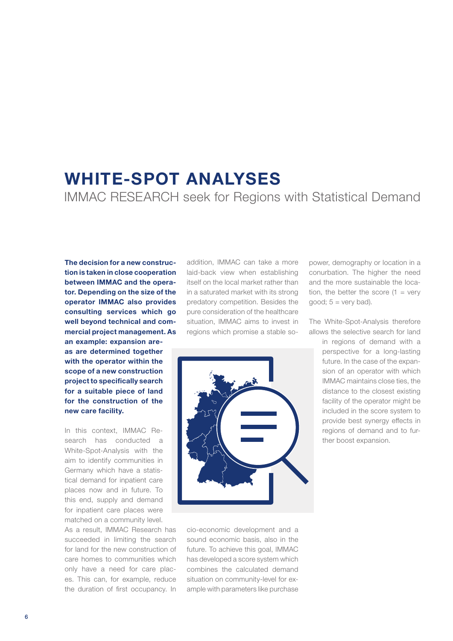## **WHITE-SPOT ANALYSES** IMMAC RESEARCH seek for Regions with Statistical Demand

**The decision for a new construction is taken in close cooperation between IMMAC and the operator. Depending on the size of the operator IMMAC also provides consulting services which go well beyond technical and commercial project management. As** 

**an example: expansion areas are determined together with the operator within the scope of a new construction project to specifically search for a suitable piece of land for the construction of the new care facility.**

In this context, IMMAC Research has conducted a White-Spot-Analysis with the aim to identify communities in Germany which have a statistical demand for inpatient care places now and in future. To this end, supply and demand for inpatient care places were matched on a community level.

As a result, IMMAC Research has succeeded in limiting the search for land for the new construction of care homes to communities which only have a need for care places. This can, for example, reduce the duration of first occupancy. In

addition, IMMAC can take a more laid-back view when establishing itself on the local market rather than in a saturated market with its strong predatory competition. Besides the pure consideration of the healthcare situation, IMMAC aims to invest in regions which promise a stable so-



cio-economic development and a sound economic basis, also in the future. To achieve this goal, IMMAC has developed a score system which combines the calculated demand situation on community-level for example with parameters like purchase power, demography or location in a conurbation. The higher the need and the more sustainable the location, the better the score  $(1 = \text{very})$ good;  $5 = \text{very bad}$ ).

The White-Spot-Analysis therefore allows the selective search for land

> in regions of demand with a perspective for a long-lasting future. In the case of the expansion of an operator with which IMMAC maintains close ties, the distance to the closest existing facility of the operator might be included in the score system to provide best synergy effects in regions of demand and to further boost expansion.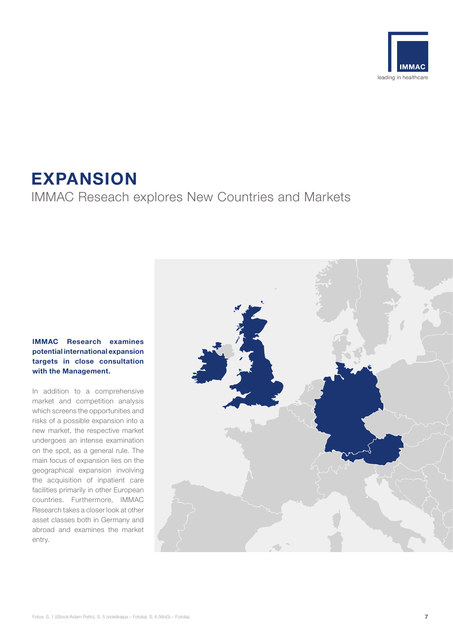

### **EXPANSION** IMMAC Reseach explores New Countries and Markets

#### **IMMAC Research examines potential international expansion targets in close consultation with the Management.**

In addition to a comprehensive market and competition analysis which screens the opportunities and risks of a possible expansion into a new market, the respective market undergoes an intense examination on the spot, as a general rule. The main focus of expansion lies on the geographical expansion involving the acquisition of inpatient care facilities primarily in other European countries. Furthermore, IMMAC Research takes a closer look at other asset classes both in Germany and abroad and examines the market entry.